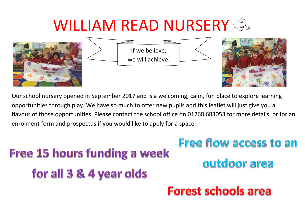# WILLIAM READ NURSERY







Our school nursery opened in September 2017 and is a welcoming, calm, fun place to explore learning opportunities through play. We have so much to offer new pupils and this leaflet will just give you a flavour of those opportunities. Please contact the school office on 01268 683053 for more details, or for an enrolment form and prospectus if you would like to apply for a space.

# Free 15 hours funding a week for all 3 & 4 year olds

# Free flow access to an outdoor area

### **Forest schools area**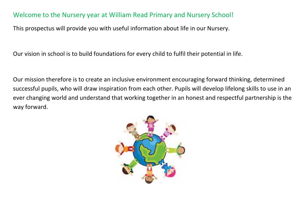### Welcome to the Nursery year at William Read Primary and Nursery School!

This prospectus will provide you with useful information about life in our Nursery.

Our vision in school is to build foundations for every child to fulfil their potential in life.

Our mission therefore is to create an inclusive environment encouraging forward thinking, determined successful pupils, who will draw inspiration from each other. Pupils will develop lifelong skills to use in an ever changing world and understand that working together in an honest and respectful partnership is the way forward.

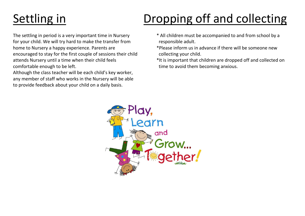## Settling in **Dropping off and collecting**

for your child. We will try hard to make the transfer from responsible adult. home to Nursery a happy experience. Parents are  $*P$  Please inform us in advance if there will be someone new encouraged to stay for the first couple of sessions their child collecting your child. comfortable enough to be left.  $\blacksquare$ 

Although the class teacher will be each child's key worker, any member of staff who works in the Nursery will be able to provide feedback about your child on a daily basis.

- The settling in period is a very important time in Nursery \* All children must be accompanied to and from school by a
	-
- attends Nursery until a time when their child feels \*It is important that children are dropped off and collected on

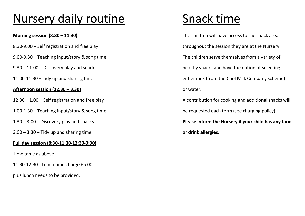## Nursery daily routine Snack time

- 
- 
- 
- 

### **Afternoon session (12.30 – 3.30)** or water.

- 
- 
- 
- 3.00 3.30 Tidy up and sharing time **or drink allergies.**

### **Full day session (8:30-11:30-12:30-3:30)**

Time table as above

11:30-12:30 - Lunch time charge £5.00

plus lunch needs to be provided.

**Morning session (8:30 – 11:30) Morning session (8:30 – 11:30)** The children will have access to the snack area 8.30-9.00 – Self registration and free play throughout the session they are at the Nursery. 9.00-9.30 – Teaching input/story & song time The Children serve themselves from a variety of 9.30 – 11.00 – Discovery play and snacks healthy snacks and have the option of selecting 11.00-11.30 – Tidy up and sharing time either milk (from the Cool Milk Company scheme)

12.30 – 1.00 – Self registration and free play and the play A contribution for cooking and additional snacks will 1.00-1.30 – Teaching input/story & song time be requested each term (see charging policy).

1.30 – 3.00 – Discovery play and snacks **Please inform the Nursery if your child has any food**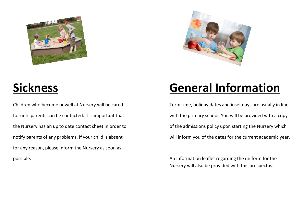



for any reason, please inform the Nursery as soon as possible. An information leaflet regarding the uniform for the

### **Sickness General Information**

Children who become unwell at Nursery will be cared Term time, holiday dates and inset days are usually in line for until parents can be contacted. It is important that with the primary school. You will be provided with a copy the Nursery has an up to date contact sheet in order to of the admissions policy upon starting the Nursery which notify parents of any problems. If your child is absent will inform you of the dates for the current academic year.

Nursery will also be provided with this prospectus.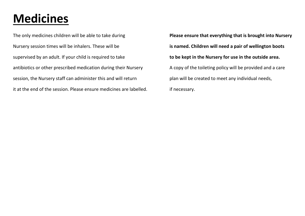### **Medicines**

The only medicines children will be able to take during **Please ensure that everything that is brought into Nursery** Nursery session times will be inhalers. These will be **is named. Children will need a pair of wellington boots** supervised by an adult. If your child is required to take **to be kept in the Nursery for use in the outside area.** antibiotics or other prescribed medication during their Nursery A copy of the toileting policy will be provided and a care session, the Nursery staff can administer this and will return plan will be created to meet any individual needs, it at the end of the session. Please ensure medicines are labelled. if necessary.